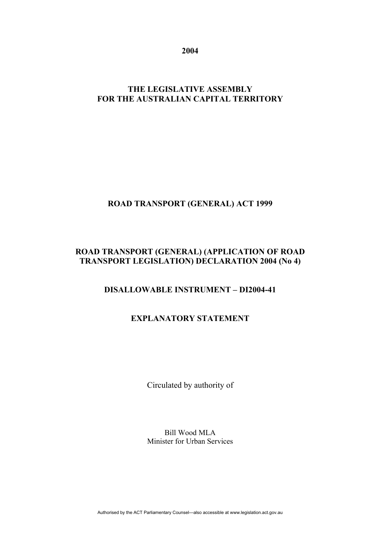**2004** 

## **THE LEGISLATIVE ASSEMBLY FOR THE AUSTRALIAN CAPITAL TERRITORY**

# **ROAD TRANSPORT (GENERAL) ACT 1999**

## **ROAD TRANSPORT (GENERAL) (APPLICATION OF ROAD TRANSPORT LEGISLATION) DECLARATION 2004 (No 4)**

## **DISALLOWABLE INSTRUMENT – DI2004-41**

## **EXPLANATORY STATEMENT**

Circulated by authority of

Bill Wood MLA Minister for Urban Services